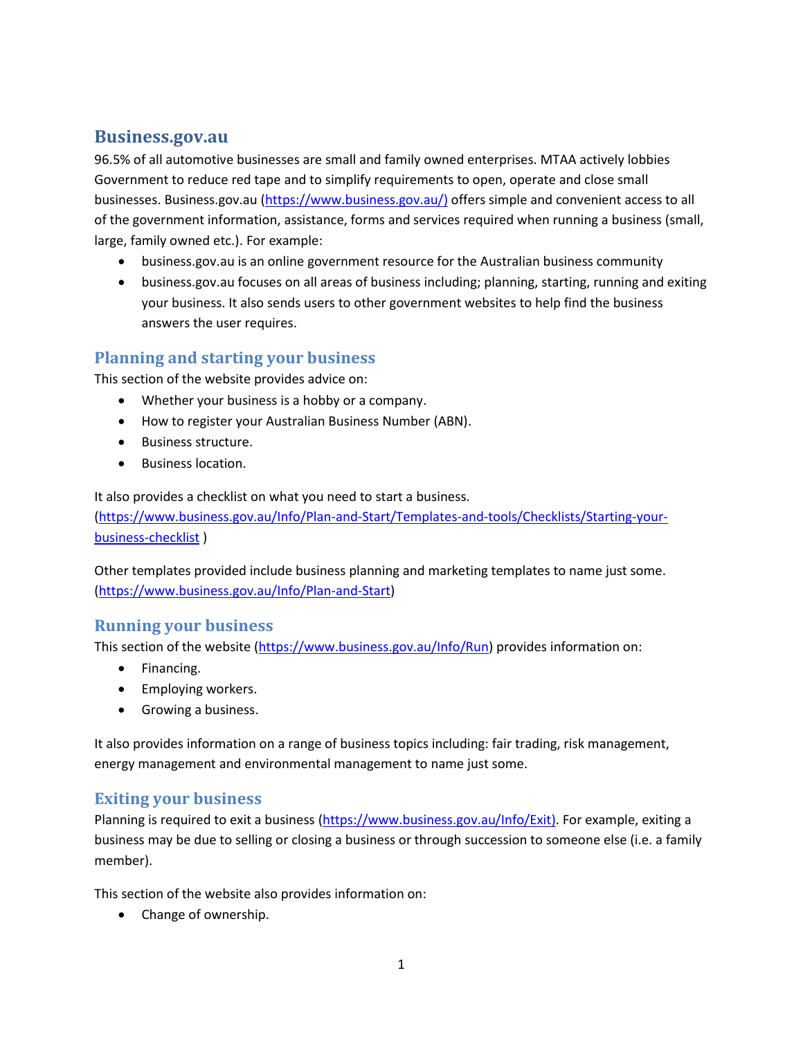# **Business.gov.au**

96.5% of all automotive businesses are small and family owned enterprises. MTAA actively lobbies Government to reduce red tape and to simplify requirements to open, operate and close small businesses. Business.gov.au [\(https://www.business.gov.au/\)](https://www.business.gov.au/) offers simple and convenient access to all of the government information, assistance, forms and services required when running a business (small, large, family owned etc.). For example:

- business.gov.au is an online government resource for the Australian business community
- business.gov.au focuses on all areas of business including; planning, starting, running and exiting your business. It also sends users to other government websites to help find the business answers the user requires.

# **Planning and starting your business**

This section of the website provides advice on:

- Whether your business is a hobby or a company.
- How to register your Australian Business Number (ABN).
- Business structure.
- Business location.

It also provides a checklist on what you need to start a business.

[\(https://www.business.gov.au/Info/Plan-and-Start/Templates-and-tools/Checklists/Starting-your](https://www.business.gov.au/Info/Plan-and-Start/Templates-and-tools/Checklists/Starting-your-business-checklist)[business-checklist](https://www.business.gov.au/Info/Plan-and-Start/Templates-and-tools/Checklists/Starting-your-business-checklist) )

Other templates provided include business planning and marketing templates to name just some. [\(https://www.business.gov.au/Info/Plan-and-Start\)](https://www.business.gov.au/Info/Plan-and-Start)

#### **Running your business**

This section of the website [\(https://www.business.gov.au/Info/Run\)](https://www.business.gov.au/Info/Run) provides information on:

- Financing.
- Employing workers.
- Growing a business.

It also provides information on a range of business topics including: fair trading, risk management, energy management and environmental management to name just some.

### **Exiting your business**

Planning is required to exit a business [\(https://www.business.gov.au/Info/Exit\)](https://www.business.gov.au/Info/Exit). For example, exiting a business may be due to selling or closing a business or through succession to someone else (i.e. a family member).

This section of the website also provides information on:

• Change of ownership.